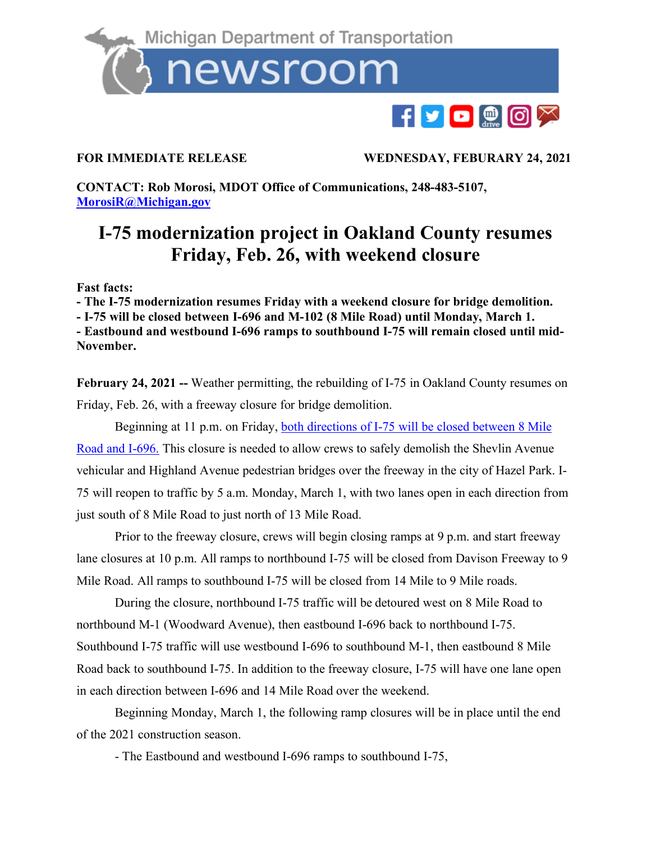

**FOR IMMEDIATE RELEASE WEDNESDAY, FEBURARY 24, 2021**

**CONTACT: Rob Morosi, MDOT Office of Communications, 248-483-5107, [MorosiR@Michigan.gov](mailto:MorosiR@Michigan.gov)**

## **I-75 modernization project in Oakland County resumes Friday, Feb. 26, with weekend closure**

**Fast facts:**

**- The I-75 modernization resumes Friday with a weekend closure for bridge demolition.** 

**- I-75 will be closed between I-696 and M-102 (8 Mile Road) until Monday, March 1.** 

**- Eastbound and westbound I-696 ramps to southbound I-75 will remain closed until mid-November.** 

**February 24, 2021 --** Weather permitting, the rebuilding of I-75 in Oakland County resumes on Friday, Feb. 26, with a freeway closure for bridge demolition.

Beginning at 11 p.m. on Friday, both directions of I-75 [will be closed between 8 Mile](https://mdotjboss.state.mi.us/MiDrive/map?constZone=true&lat=42.4635091726229&lon=-83.08510831564533&zoom=12) [Road and I-696.](https://mdotjboss.state.mi.us/MiDrive/map?constZone=true&lat=42.4635091726229&lon=-83.08510831564533&zoom=12) This closure is needed to allow crews to safely demolish the Shevlin Avenue vehicular and Highland Avenue pedestrian bridges over the freeway in the city of Hazel Park. I-75 will reopen to traffic by 5 a.m. Monday, March 1, with two lanes open in each direction from just south of 8 Mile Road to just north of 13 Mile Road.

Prior to the freeway closure, crews will begin closing ramps at 9 p.m. and start freeway lane closures at 10 p.m. All ramps to northbound I-75 will be closed from Davison Freeway to 9 Mile Road. All ramps to southbound I-75 will be closed from 14 Mile to 9 Mile roads.

During the closure, northbound I-75 traffic will be detoured west on 8 Mile Road to northbound M-1 (Woodward Avenue), then eastbound I-696 back to northbound I-75. Southbound I-75 traffic will use westbound I-696 to southbound M-1, then eastbound 8 Mile Road back to southbound I-75. In addition to the freeway closure, I-75 will have one lane open in each direction between I-696 and 14 Mile Road over the weekend.

Beginning Monday, March 1, the following ramp closures will be in place until the end of the 2021 construction season.

- The Eastbound and westbound I-696 ramps to southbound I-75,